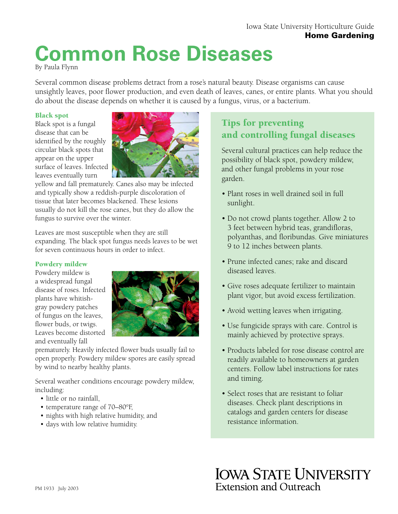# **Common Rose Diseases**

By Paula Flynn

Several common disease problems detract from a rose's natural beauty. Disease organisms can cause unsightly leaves, poor flower production, and even death of leaves, canes, or entire plants. What you should do about the disease depends on whether it is caused by a fungus, virus, or a bacterium.

#### Black spot

Black spot is a fungal disease that can be identified by the roughly circular black spots that appear on the upper surface of leaves. Infected leaves eventually turn



yellow and fall prematurely. Canes also may be infected and typically show a reddish-purple discoloration of tissue that later becomes blackened. These lesions usually do not kill the rose canes, but they do allow the fungus to survive over the winter.

Leaves are most susceptible when they are still expanding. The black spot fungus needs leaves to be wet for seven continuous hours in order to infect.

#### Powdery mildew

Powdery mildew is a widespread fungal disease of roses. Infected plants have whitishgray powdery patches of fungus on the leaves, flower buds, or twigs. Leaves become distorted and eventually fall



prematurely. Heavily infected flower buds usually fail to open properly. Powdery mildew spores are easily spread by wind to nearby healthy plants.

Several weather conditions encourage powdery mildew, including:

- little or no rainfall,
- temperature range of 70–80°F,
- nights with high relative humidity, and
- days with low relative humidity.

# Tips for preventing and controlling fungal diseases

Several cultural practices can help reduce the possibility of black spot, powdery mildew, and other fungal problems in your rose garden.

- Plant roses in well drained soil in full sunlight.
- Do not crowd plants together. Allow 2 to 3 feet between hybrid teas, grandifloras, polyanthas, and floribundas. Give miniatures 9 to 12 inches between plants.
- Prune infected canes; rake and discard diseased leaves.
- Give roses adequate fertilizer to maintain plant vigor, but avoid excess fertilization.
- Avoid wetting leaves when irrigating.
- Use fungicide sprays with care. Control is mainly achieved by protective sprays.
- Products labeled for rose disease control are readily available to homeowners at garden centers. Follow label instructions for rates and timing.
- Select roses that are resistant to foliar diseases. Check plant descriptions in catalogs and garden centers for disease resistance information.

**IOWA STATE UNIVERSITY** Extension and Outreach